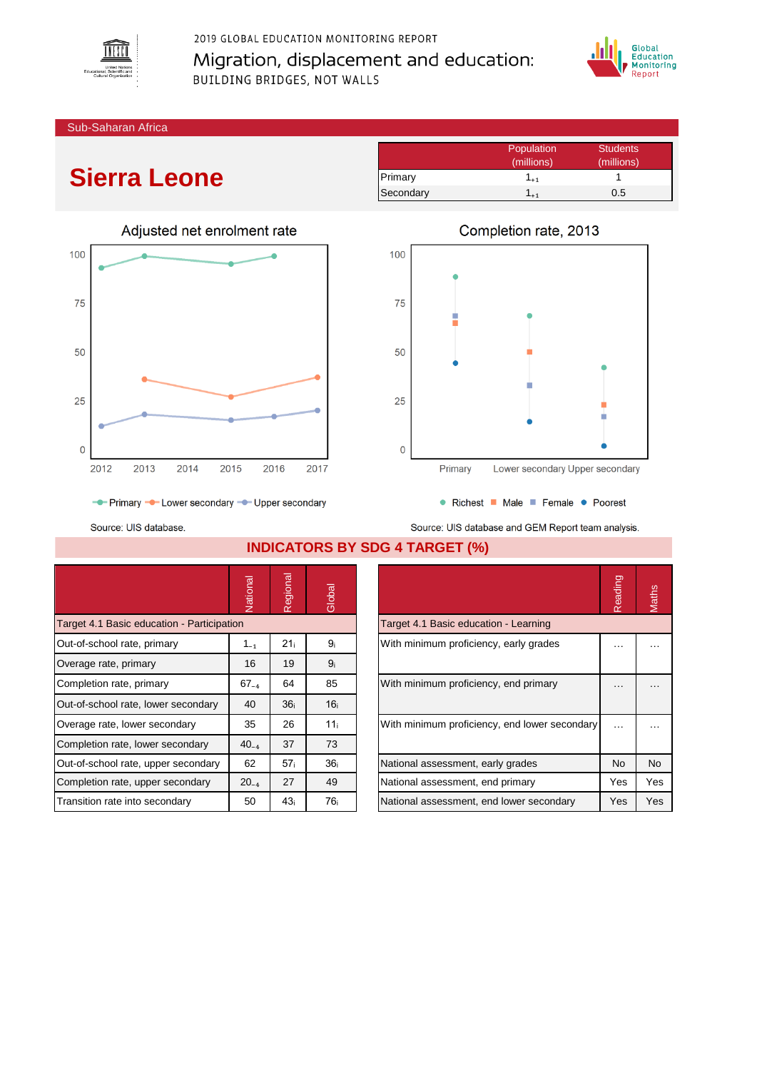

2019 GLOBAL EDUCATION MONITORING REPORT Migration, displacement and education: BUILDING BRIDGES, NOT WALLS



Sub-Saharan Africa

## **Sierra Leone**



|           | Population | <b>Students</b> |
|-----------|------------|-----------------|
|           | (millions) | (millions)      |
| Primary   | $1_{+1}$   |                 |
| Secondary | $+1$       | 0.5             |



Source: UIS database.

**INDICATORS BY SDG 4 TARGET (%)**

|                                            | Vational  | gional<br>$\overline{\Phi}$<br>$\alpha$ | Global          |                                               | Reading       | Maths |
|--------------------------------------------|-----------|-----------------------------------------|-----------------|-----------------------------------------------|---------------|-------|
| Target 4.1 Basic education - Participation |           |                                         |                 | Target 4.1 Basic education - Learning         |               |       |
| Out-of-school rate, primary                | $1_{-1}$  | 21 <sub>i</sub>                         | 9 <sub>i</sub>  | With minimum proficiency, early grades        | .             |       |
| Overage rate, primary                      | 16        | 19                                      | 9 <sub>i</sub>  |                                               |               |       |
| Completion rate, primary                   | $67_{-4}$ | 64                                      | 85              | With minimum proficiency, end primary         | $\cdots$      | .     |
| Out-of-school rate, lower secondary        | 40        | 36 <sub>i</sub>                         | 16 <sub>i</sub> |                                               |               |       |
| Overage rate, lower secondary              | 35        | 26                                      | 11 <sub>i</sub> | With minimum proficiency, end lower secondary | $\sim$ $\sim$ | .     |
| Completion rate, lower secondary           | $40_{-4}$ | 37                                      | 73              |                                               |               |       |
| Out-of-school rate, upper secondary        | 62        | 57 <sub>i</sub>                         | 36 <sub>i</sub> | National assessment, early grades             | No.           | No    |
| Completion rate, upper secondary           | $20_{-4}$ | 27                                      | 49              | National assessment, end primary              | Yes           | Yes   |
| Transition rate into secondary             | 50        | 43 <sub>i</sub>                         | 76 <sub>i</sub> | National assessment, end lower secondary      | Yes           | Yes   |

|                                               | Reading   |           |
|-----------------------------------------------|-----------|-----------|
| Target 4.1 Basic education - Learning         |           |           |
| With minimum proficiency, early grades        |           |           |
| With minimum proficiency, end primary         |           |           |
| With minimum proficiency, end lower secondary |           |           |
| National assessment, early grades             | <b>No</b> | <b>No</b> |
| National assessment, end primary              | Yes       | Yes       |
| National assessment, end lower secondary      | Yes       | Yes       |

Source: UIS database and GEM Report team analysis.